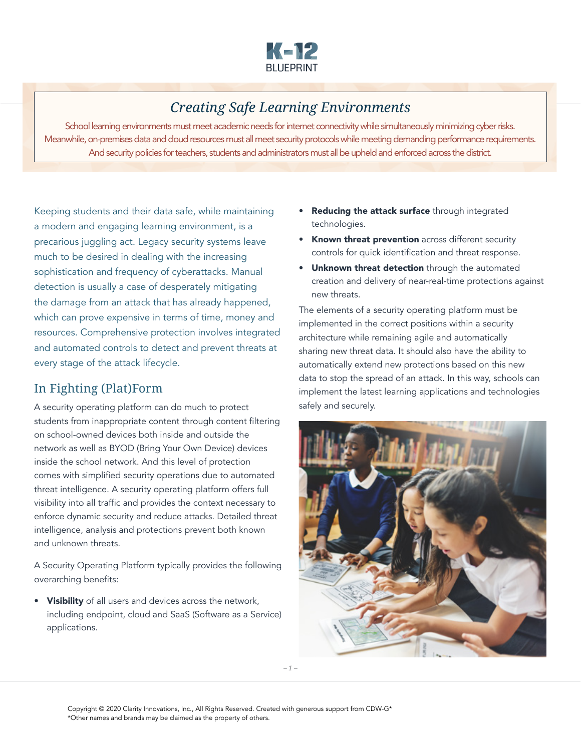

# *Creating Safe Learning Environments*

School learning environments must meet academic needs for internet connectivity while simultaneously minimizing cyber risks. Meanwhile, on-premises data and cloud resources must all meet security protocols while meeting demanding performance requirements. And security policies for teachers, students and administrators must all be upheld and enforced across the district.

Keeping students and their data safe, while maintaining a modern and engaging learning environment, is a precarious juggling act. Legacy security systems leave much to be desired in dealing with the increasing sophistication and frequency of cyberattacks. Manual detection is usually a case of desperately mitigating the damage from an attack that has already happened, which can prove expensive in terms of time, money and resources. Comprehensive protection involves integrated and automated controls to detect and prevent threats at every stage of the attack lifecycle.

## In Fighting (Plat)Form

A security operating platform can do much to protect students from inappropriate content through content filtering on school-owned devices both inside and outside the network as well as BYOD (Bring Your Own Device) devices inside the school network. And this level of protection comes with simplified security operations due to automated threat intelligence. A security operating platform offers full visibility into all traffic and provides the context necessary to enforce dynamic security and reduce attacks. Detailed threat intelligence, analysis and protections prevent both known and unknown threats.

A Security Operating Platform typically provides the following overarching benefits:

Visibility of all users and devices across the network, including endpoint, cloud and SaaS (Software as a Service) applications.

- Reducing the attack surface through integrated technologies.
- Known threat prevention across different security controls for quick identification and threat response.
- Unknown threat detection through the automated creation and delivery of near-real-time protections against new threats.

The elements of a security operating platform must be implemented in the correct positions within a security architecture while remaining agile and automatically sharing new threat data. It should also have the ability to automatically extend new protections based on this new data to stop the spread of an attack. In this way, schools can implement the latest learning applications and technologies safely and securely.